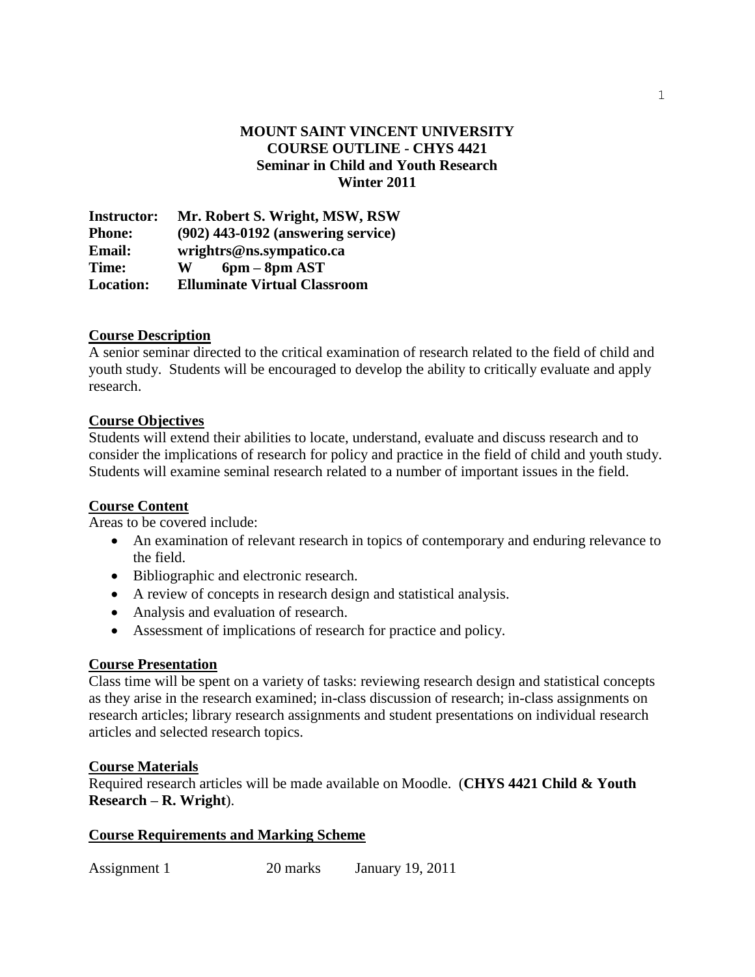## **MOUNT SAINT VINCENT UNIVERSITY COURSE OUTLINE - CHYS 4421 Seminar in Child and Youth Research Winter 2011**

**Instructor: Mr. Robert S. Wright, MSW, RSW Phone: (902) 443-0192 (answering service)** Email: [wrightrs@ns.sympatico.ca](mailto:wrightrs@ns.sympatico.ca)<br>Time: W 6nm – 8nm AST  $W$  6pm –  $8pm$  AST **Location: Elluminate Virtual Classroom**

#### **Course Description**

A senior seminar directed to the critical examination of research related to the field of child and youth study. Students will be encouraged to develop the ability to critically evaluate and apply research.

#### **Course Objectives**

Students will extend their abilities to locate, understand, evaluate and discuss research and to consider the implications of research for policy and practice in the field of child and youth study. Students will examine seminal research related to a number of important issues in the field.

#### **Course Content**

Areas to be covered include:

- An examination of relevant research in topics of contemporary and enduring relevance to the field.
- Bibliographic and electronic research.
- A review of concepts in research design and statistical analysis.
- Analysis and evaluation of research.
- Assessment of implications of research for practice and policy.

### **Course Presentation**

Class time will be spent on a variety of tasks: reviewing research design and statistical concepts as they arise in the research examined; in-class discussion of research; in-class assignments on research articles; library research assignments and student presentations on individual research articles and selected research topics.

#### **Course Materials**

Required research articles will be made available on Moodle. (**CHYS 4421 Child & Youth Research – R. Wright**).

#### **Course Requirements and Marking Scheme**

Assignment 1 20 marks January 19, 2011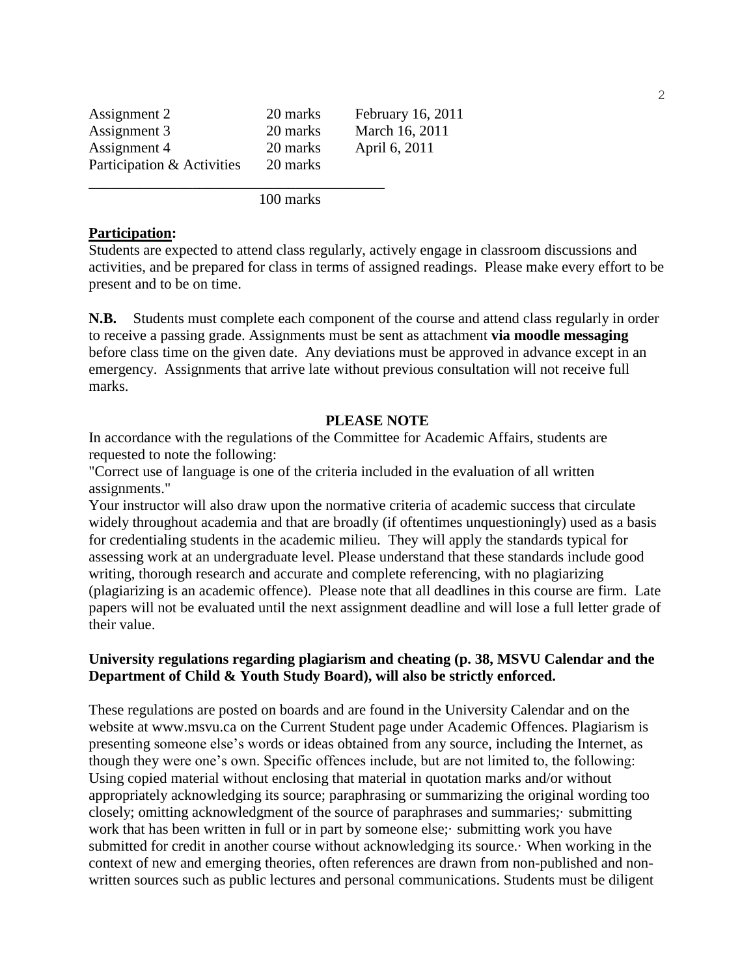| Assignment 2               | 20 marks | February 16, 2011 |
|----------------------------|----------|-------------------|
| Assignment 3               | 20 marks | March 16, 2011    |
| Assignment 4               | 20 marks | April 6, 2011     |
| Participation & Activities | 20 marks |                   |
|                            |          |                   |

100 marks

#### **Participation:**

Students are expected to attend class regularly, actively engage in classroom discussions and activities, and be prepared for class in terms of assigned readings. Please make every effort to be present and to be on time.

**N.B.** Students must complete each component of the course and attend class regularly in order to receive a passing grade. Assignments must be sent as attachment **via moodle messaging** before class time on the given date. Any deviations must be approved in advance except in an emergency. Assignments that arrive late without previous consultation will not receive full marks.

### **PLEASE NOTE**

In accordance with the regulations of the Committee for Academic Affairs, students are requested to note the following:

"Correct use of language is one of the criteria included in the evaluation of all written assignments."

Your instructor will also draw upon the normative criteria of academic success that circulate widely throughout academia and that are broadly (if oftentimes unquestioningly) used as a basis for credentialing students in the academic milieu. They will apply the standards typical for assessing work at an undergraduate level. Please understand that these standards include good writing, thorough research and accurate and complete referencing, with no plagiarizing (plagiarizing is an academic offence). Please note that all deadlines in this course are firm. Late papers will not be evaluated until the next assignment deadline and will lose a full letter grade of their value.

### **University regulations regarding plagiarism and cheating (p. 38, MSVU Calendar and the Department of Child & Youth Study Board), will also be strictly enforced.**

These regulations are posted on boards and are found in the University Calendar and on the website at www.msvu.ca on the Current Student page under Academic Offences. Plagiarism is presenting someone else's words or ideas obtained from any source, including the Internet, as though they were one's own. Specific offences include, but are not limited to, the following: Using copied material without enclosing that material in quotation marks and/or without appropriately acknowledging its source; paraphrasing or summarizing the original wording too closely; omitting acknowledgment of the source of paraphrases and summaries;· submitting work that has been written in full or in part by someone else; submitting work you have submitted for credit in another course without acknowledging its source.· When working in the context of new and emerging theories, often references are drawn from non-published and nonwritten sources such as public lectures and personal communications. Students must be diligent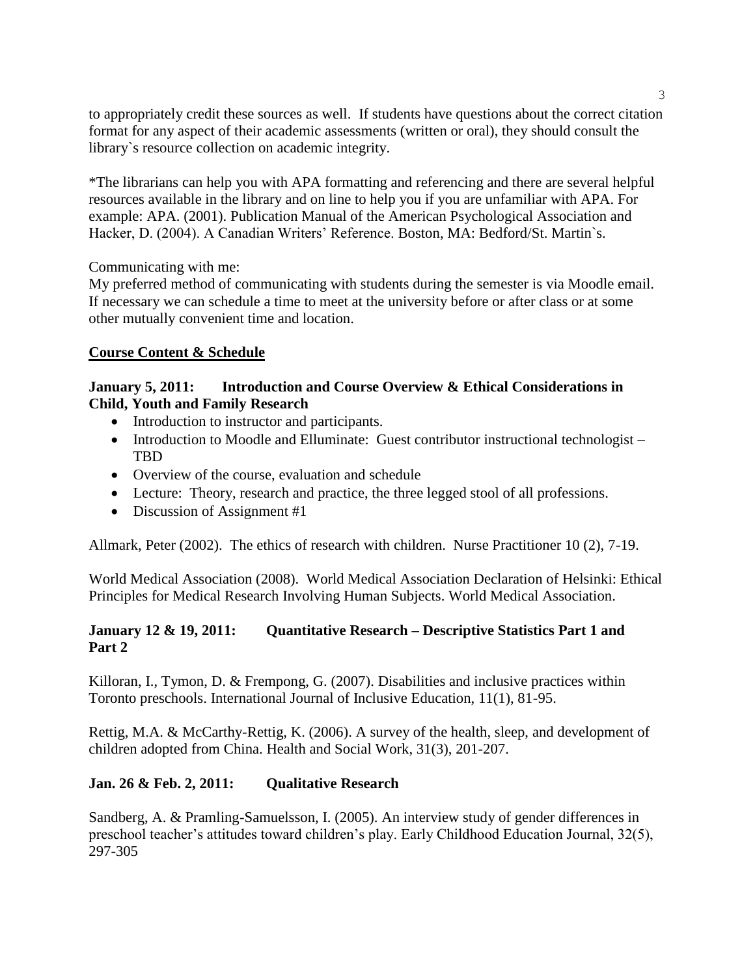to appropriately credit these sources as well. If students have questions about the correct citation format for any aspect of their academic assessments (written or oral), they should consult the library`s resource collection on academic integrity.

\*The librarians can help you with APA formatting and referencing and there are several helpful resources available in the library and on line to help you if you are unfamiliar with APA. For example: APA. (2001). Publication Manual of the American Psychological Association and Hacker, D. (2004). A Canadian Writers' Reference. Boston, MA: Bedford/St. Martin`s.

Communicating with me:

My preferred method of communicating with students during the semester is via Moodle email. If necessary we can schedule a time to meet at the university before or after class or at some other mutually convenient time and location.

# **Course Content & Schedule**

## **January 5, 2011: Introduction and Course Overview & Ethical Considerations in Child, Youth and Family Research**

- Introduction to instructor and participants.
- Introduction to Moodle and Elluminate: Guest contributor instructional technologist TBD
- Overview of the course, evaluation and schedule
- Lecture: Theory, research and practice, the three legged stool of all professions.
- Discussion of Assignment #1

Allmark, Peter (2002). The ethics of research with children. Nurse Practitioner 10 (2), 7-19.

World Medical Association (2008). World Medical Association Declaration of Helsinki: Ethical Principles for Medical Research Involving Human Subjects. World Medical Association.

# **January 12 & 19, 2011: Quantitative Research – Descriptive Statistics Part 1 and Part 2**

Killoran, I., Tymon, D. & Frempong, G. (2007). Disabilities and inclusive practices within Toronto preschools. International Journal of Inclusive Education, 11(1), 81-95.

Rettig, M.A. & McCarthy-Rettig, K. (2006). A survey of the health, sleep, and development of children adopted from China. Health and Social Work, 31(3), 201-207.

# **Jan. 26 & Feb. 2, 2011: Qualitative Research**

Sandberg, A. & Pramling-Samuelsson, I. (2005). An interview study of gender differences in preschool teacher's attitudes toward children's play. Early Childhood Education Journal, 32(5), 297-305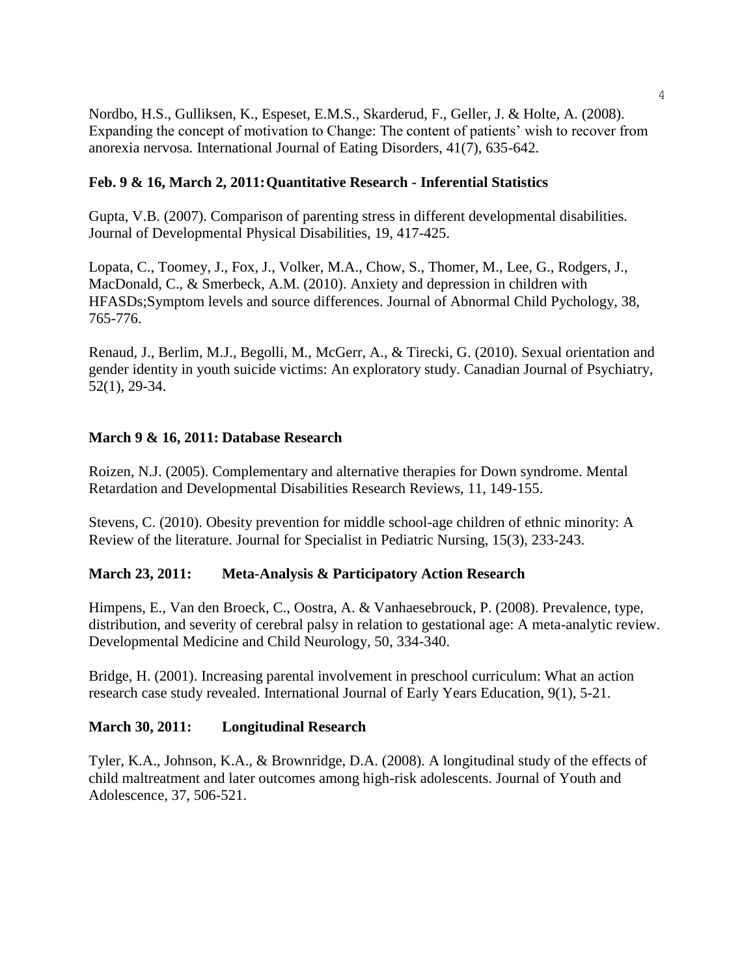Nordbo, H.S., Gulliksen, K., Espeset, E.M.S., Skarderud, F., Geller, J. & Holte, A. (2008). Expanding the concept of motivation to Change: The content of patients' wish to recover from anorexia nervosa. International Journal of Eating Disorders, 41(7), 635-642.

## **Feb. 9 & 16, March 2, 2011:Quantitative Research - Inferential Statistics**

Gupta, V.B. (2007). Comparison of parenting stress in different developmental disabilities. Journal of Developmental Physical Disabilities, 19, 417-425.

Lopata, C., Toomey, J., Fox, J., Volker, M.A., Chow, S., Thomer, M., Lee, G., Rodgers, J., MacDonald, C., & Smerbeck, A.M. (2010). Anxiety and depression in children with HFASDs;Symptom levels and source differences. Journal of Abnormal Child Pychology, 38, 765-776.

Renaud, J., Berlim, M.J., Begolli, M., McGerr, A., & Tirecki, G. (2010). Sexual orientation and gender identity in youth suicide victims: An exploratory study. Canadian Journal of Psychiatry, 52(1), 29-34.

### **March 9 & 16, 2011: Database Research**

Roizen, N.J. (2005). Complementary and alternative therapies for Down syndrome. Mental Retardation and Developmental Disabilities Research Reviews, 11, 149-155.

Stevens, C. (2010). Obesity prevention for middle school-age children of ethnic minority: A Review of the literature. Journal for Specialist in Pediatric Nursing, 15(3), 233-243.

### **March 23, 2011: Meta-Analysis & Participatory Action Research**

Himpens, E., Van den Broeck, C., Oostra, A. & Vanhaesebrouck, P. (2008). Prevalence, type, distribution, and severity of cerebral palsy in relation to gestational age: A meta-analytic review. Developmental Medicine and Child Neurology, 50, 334-340.

Bridge, H. (2001). Increasing parental involvement in preschool curriculum: What an action research case study revealed. International Journal of Early Years Education, 9(1), 5-21.

### **March 30, 2011: Longitudinal Research**

Tyler, K.A., Johnson, K.A., & Brownridge, D.A. (2008). A longitudinal study of the effects of child maltreatment and later outcomes among high-risk adolescents. Journal of Youth and Adolescence, 37, 506-521.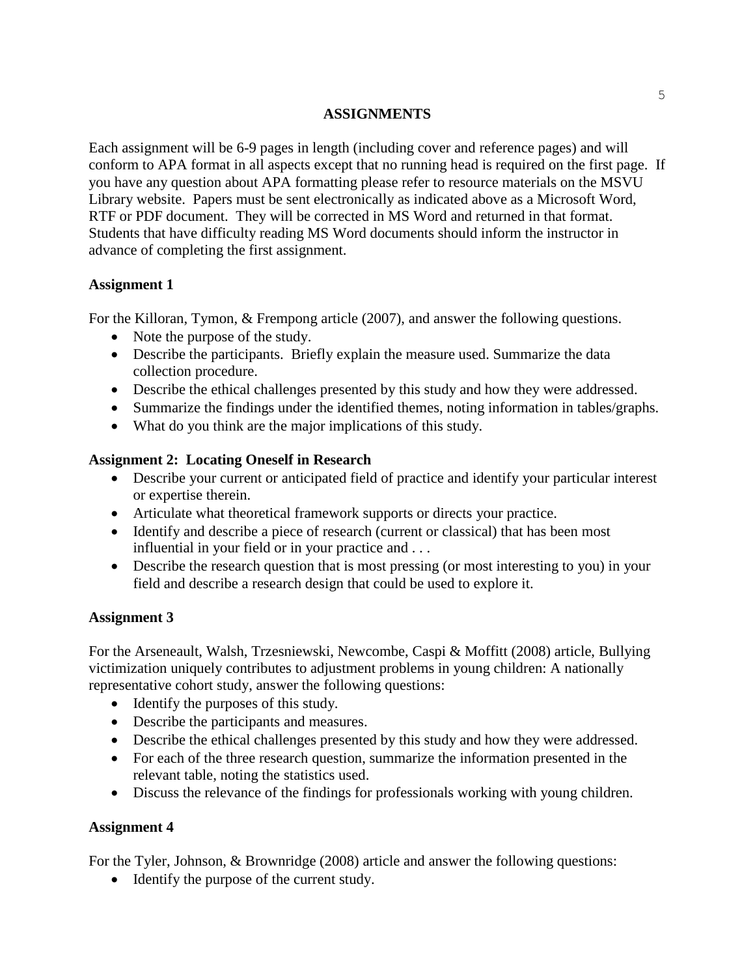## **ASSIGNMENTS**

Each assignment will be 6-9 pages in length (including cover and reference pages) and will conform to APA format in all aspects except that no running head is required on the first page. If you have any question about APA formatting please refer to resource materials on the MSVU Library website. Papers must be sent electronically as indicated above as a Microsoft Word, RTF or PDF document. They will be corrected in MS Word and returned in that format. Students that have difficulty reading MS Word documents should inform the instructor in advance of completing the first assignment.

# **Assignment 1**

For the Killoran, Tymon, & Frempong article (2007), and answer the following questions.

- Note the purpose of the study.
- Describe the participants. Briefly explain the measure used. Summarize the data collection procedure.
- Describe the ethical challenges presented by this study and how they were addressed.
- Summarize the findings under the identified themes, noting information in tables/graphs.
- What do you think are the major implications of this study.

## **Assignment 2: Locating Oneself in Research**

- Describe your current or anticipated field of practice and identify your particular interest or expertise therein.
- Articulate what theoretical framework supports or directs your practice.
- Identify and describe a piece of research (current or classical) that has been most influential in your field or in your practice and . . .
- Describe the research question that is most pressing (or most interesting to you) in your field and describe a research design that could be used to explore it.

# **Assignment 3**

For the Arseneault, Walsh, Trzesniewski, Newcombe, Caspi & Moffitt (2008) article, Bullying victimization uniquely contributes to adjustment problems in young children: A nationally representative cohort study, answer the following questions:

- Identify the purposes of this study.
- Describe the participants and measures.
- Describe the ethical challenges presented by this study and how they were addressed.
- For each of the three research question, summarize the information presented in the relevant table, noting the statistics used.
- Discuss the relevance of the findings for professionals working with young children.

# **Assignment 4**

For the Tyler, Johnson, & Brownridge (2008) article and answer the following questions:

• Identify the purpose of the current study.